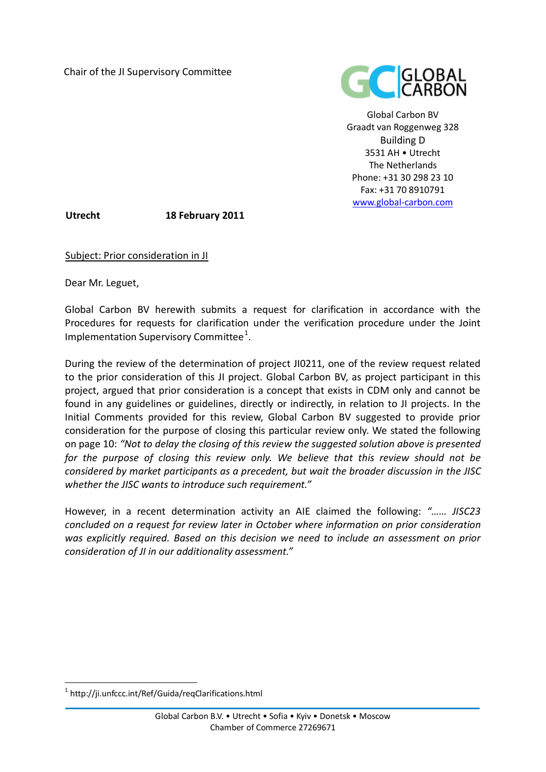Chair of the JI Supervisory Committee



Global Carbon BV Graadt van Roggenweg 328 Building D 3531 AH • Utrecht The Netherlands Phone: +31 30 298 23 10 Fax: +31 70 8910791 [www.global](http://www.global-carbon.com/)-carbon.com

**Utrecht 18 February 2011**

Subject: Prior consideration in JI

Dear Mr. Leguet,

Global Carbon BV herewith submits a request for clarification in accordance with the Procedures for requests for clarification under the verification procedure under the Joint Implementation Supervisory Committee $^1$  $^1$ .

During the review of the determination of project JI0211, one of the review request related to the prior consideration of this JI project. Global Carbon BV, as project participant in this project, argued that prior consideration is a concept that exists in CDM only and cannot be found in any guidelines or guidelines, directly or indirectly, in relation to JI projects. In the Initial Comments provided for this review, Global Carbon BV suggested to provide prior consideration for the purpose of closing this particular review only. We stated the following on page 10: *"Not to delay the closing of this review the suggested solution above is presented for the purpose of closing this review only. We believe that this review should not be considered by market participants as a precedent, but wait the broader discussion in the JISC whether the JISC wants to introduce such requirement."*

However, in a recent determination activity an AIE claimed the following: *"…… JISC23 concluded on a request for review later in October where information on prior consideration was explicitly required. Based on this decision we need to include an assessment on prior consideration of JI in our additionality assessment."*

<span id="page-0-0"></span><sup>&</sup>lt;sup>1</sup> http://ji.unfccc.int/Ref/Guida/reqClarifications.html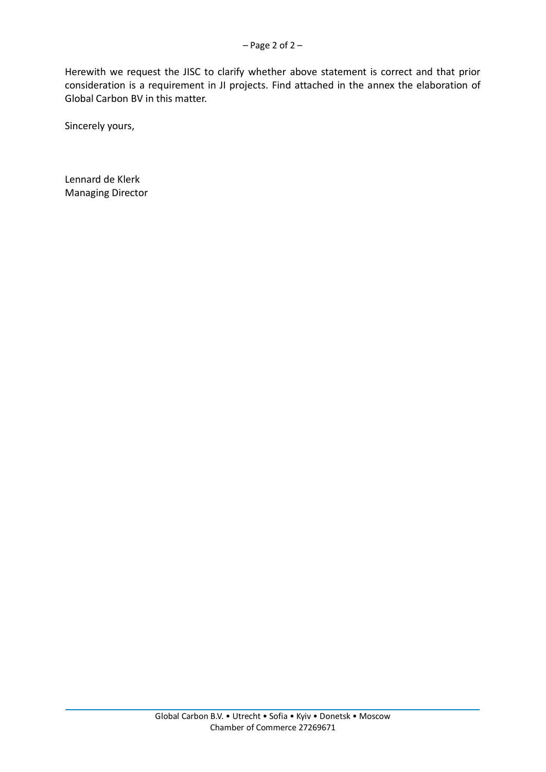Herewith we request the JISC to clarify whether above statement is correct and that prior consideration is a requirement in JI projects. Find attached in the annex the elaboration of Global Carbon BV in this matter.

Sincerely yours,

Lennard de Klerk Managing Director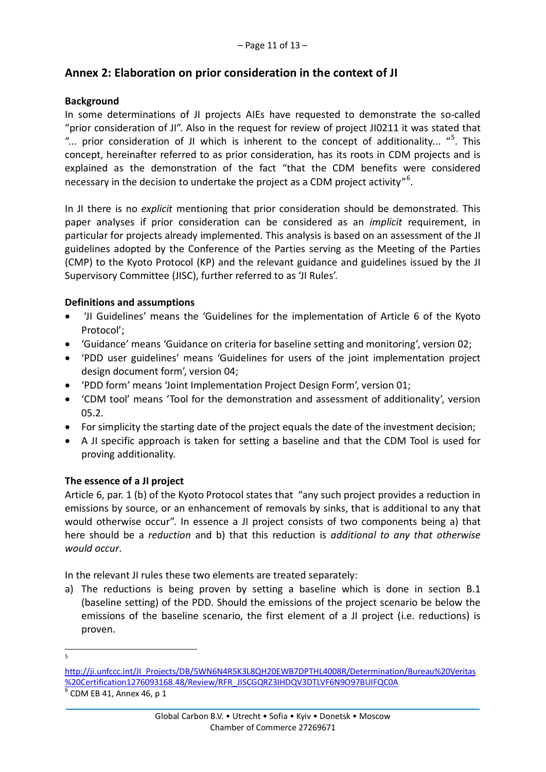# **Annex 2: Elaboration on prior consideration in the context of JI**

## **Background**

In some determinations of JI projects AIEs have requested to demonstrate the so-called "prior consideration of JI". Also in the request for review of project JI0211 it was stated that "... prior consideration of JI which is inherent to the concept of additionality... "<sup>[5](#page-2-0)</sup>. This concept, hereinafter referred to as prior consideration, has its roots in CDM projects and is explained as the demonstration of the fact "that the CDM benefits were considered necessary in the decision to undertake the project as a CDM project activity"<sup>[6](#page-2-1)</sup>.

In JI there is no *explicit* mentioning that prior consideration should be demonstrated. This paper analyses if prior consideration can be considered as an *implicit* requirement, in particular for projects already implemented. This analysis is based on an assessment of the JI guidelines adopted by the Conference of the Parties serving as the Meeting of the Parties (CMP) to the Kyoto Protocol (KP) and the relevant guidance and guidelines issued by the JI Supervisory Committee (JISC), further referred to as 'JI Rules'.

## **Definitions and assumptions**

- 'JI Guidelines' means the 'Guidelines for the implementation of Article 6 of the Kyoto Protocol';
- 'Guidance' means 'Guidance on criteria for baseline setting and monitoring', version 02;
- 'PDD user guidelines' means 'Guidelines for users of the joint implementation project design document form', version 04;
- 'PDD form' means 'Joint Implementation Project Design Form', version 01;
- 'CDM tool' means 'Tool for the demonstration and assessment of additionality', version 05.2.
- For simplicity the starting date of the project equals the date of the investment decision;
- A JI specific approach is taken for setting a baseline and that the CDM Tool is used for proving additionality.

## **The essence of a JI project**

Article 6, par. 1 (b) of the Kyoto Protocol states that "any such project provides a reduction in emissions by source, or an enhancement of removals by sinks, that is additional to any that would otherwise occur". In essence a JI project consists of two components being a) that here should be a *reduction* and b) that this reduction is *additional to any that otherwise would occur*.

In the relevant JI rules these two elements are treated separately:

a) The reductions is being proven by setting a baseline which is done in section B.1 (baseline setting) of the PDD. Should the emissions of the project scenario be below the emissions of the baseline scenario, the first element of a JI project (i.e. reductions) is proven.

<sup>-&</sup>lt;br>5

<span id="page-2-0"></span>[http://ji.unfccc.int/JI\\_Projects/DB/5WN6N4R5K3L8QH20EWB7DPTHL4008R/Determination/Bureau%20Veritas](http://ji.unfccc.int/JI_Projects/DB/5WN6N4R5K3L8QH20EWB7DPTHL4008R/Determination/Bureau%20Veritas%20Certification1276093168.48/Review/RFR_JISCGQRZ3IHDQV3DTLVF6N9O97BUIFQC0A) [%20Certification1276093168.48/Review/RFR\\_JISCGQRZ3IHDQV3DTLVF6N9O97BUIFQC0A](http://ji.unfccc.int/JI_Projects/DB/5WN6N4R5K3L8QH20EWB7DPTHL4008R/Determination/Bureau%20Veritas%20Certification1276093168.48/Review/RFR_JISCGQRZ3IHDQV3DTLVF6N9O97BUIFQC0A)

<span id="page-2-1"></span> $6$  CDM EB 41, Annex 46, p 1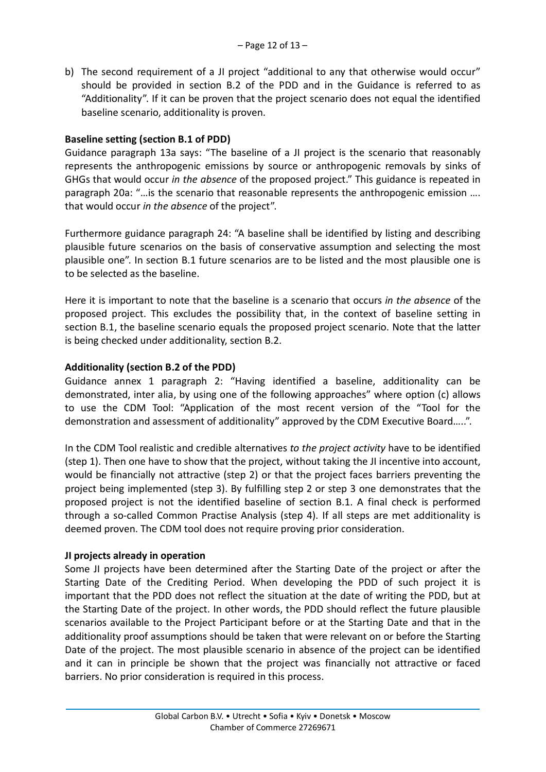b) The second requirement of a JI project "additional to any that otherwise would occur" should be provided in section B.2 of the PDD and in the Guidance is referred to as "Additionality". If it can be proven that the project scenario does not equal the identified baseline scenario, additionality is proven.

## **Baseline setting (section B.1 of PDD)**

Guidance paragraph 13a says: "The baseline of a JI project is the scenario that reasonably represents the anthropogenic emissions by source or anthropogenic removals by sinks of GHGs that would occur *in the absence* of the proposed project." This guidance is repeated in paragraph 20a: "…is the scenario that reasonable represents the anthropogenic emission …. that would occur *in the absence* of the project".

Furthermore guidance paragraph 24: "A baseline shall be identified by listing and describing plausible future scenarios on the basis of conservative assumption and selecting the most plausible one". In section B.1 future scenarios are to be listed and the most plausible one is to be selected as the baseline.

Here it is important to note that the baseline is a scenario that occurs *in the absence* of the proposed project. This excludes the possibility that, in the context of baseline setting in section B.1, the baseline scenario equals the proposed project scenario. Note that the latter is being checked under additionality, section B.2.

## **Additionality (section B.2 of the PDD)**

Guidance annex 1 paragraph 2: "Having identified a baseline, additionality can be demonstrated, inter alia, by using one of the following approaches" where option (c) allows to use the CDM Tool: "Application of the most recent version of the "Tool for the demonstration and assessment of additionality" approved by the CDM Executive Board…..".

In the CDM Tool realistic and credible alternatives *to the project activity* have to be identified (step 1). Then one have to show that the project, without taking the JI incentive into account, would be financially not attractive (step 2) or that the project faces barriers preventing the project being implemented (step 3). By fulfilling step 2 or step 3 one demonstrates that the proposed project is not the identified baseline of section B.1. A final check is performed through a so-called Common Practise Analysis (step 4). If all steps are met additionality is deemed proven. The CDM tool does not require proving prior consideration.

## **JI projects already in operation**

Some JI projects have been determined after the Starting Date of the project or after the Starting Date of the Crediting Period. When developing the PDD of such project it is important that the PDD does not reflect the situation at the date of writing the PDD, but at the Starting Date of the project. In other words, the PDD should reflect the future plausible scenarios available to the Project Participant before or at the Starting Date and that in the additionality proof assumptions should be taken that were relevant on or before the Starting Date of the project. The most plausible scenario in absence of the project can be identified and it can in principle be shown that the project was financially not attractive or faced barriers. No prior consideration is required in this process.